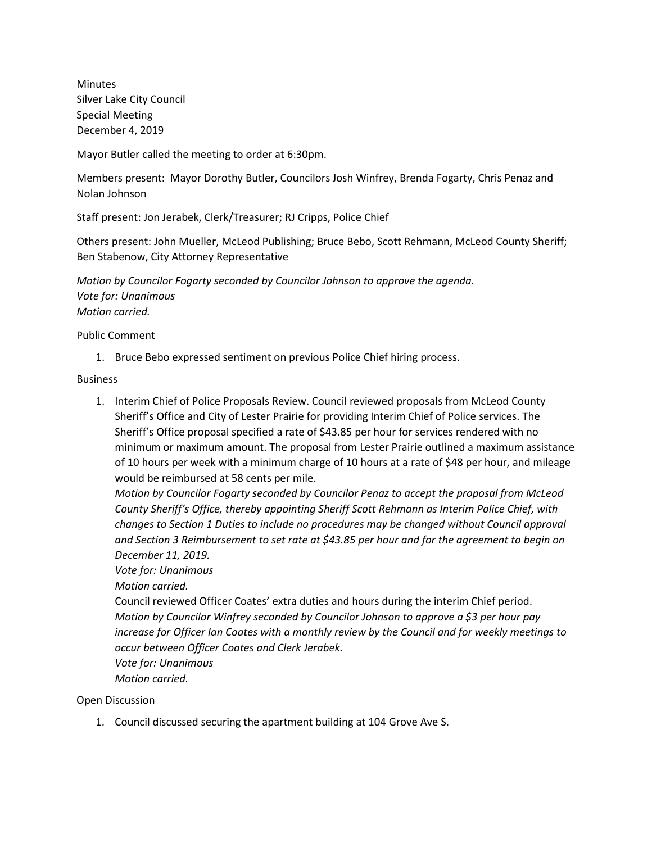Minutes Silver Lake City Council Special Meeting December 4, 2019

Mayor Butler called the meeting to order at 6:30pm.

Members present: Mayor Dorothy Butler, Councilors Josh Winfrey, Brenda Fogarty, Chris Penaz and Nolan Johnson

Staff present: Jon Jerabek, Clerk/Treasurer; RJ Cripps, Police Chief

Others present: John Mueller, McLeod Publishing; Bruce Bebo, Scott Rehmann, McLeod County Sheriff; Ben Stabenow, City Attorney Representative

*Motion by Councilor Fogarty seconded by Councilor Johnson to approve the agenda. Vote for: Unanimous Motion carried.*

Public Comment

1. Bruce Bebo expressed sentiment on previous Police Chief hiring process.

**Business** 

1. Interim Chief of Police Proposals Review. Council reviewed proposals from McLeod County Sheriff's Office and City of Lester Prairie for providing Interim Chief of Police services. The Sheriff's Office proposal specified a rate of \$43.85 per hour for services rendered with no minimum or maximum amount. The proposal from Lester Prairie outlined a maximum assistance of 10 hours per week with a minimum charge of 10 hours at a rate of \$48 per hour, and mileage would be reimbursed at 58 cents per mile.

*Motion by Councilor Fogarty seconded by Councilor Penaz to accept the proposal from McLeod County Sheriff's Office, thereby appointing Sheriff Scott Rehmann as Interim Police Chief, with changes to Section 1 Duties to include no procedures may be changed without Council approval and Section 3 Reimbursement to set rate at \$43.85 per hour and for the agreement to begin on December 11, 2019.* 

## *Vote for: Unanimous*

*Motion carried.*

Council reviewed Officer Coates' extra duties and hours during the interim Chief period. *Motion by Councilor Winfrey seconded by Councilor Johnson to approve a \$3 per hour pay increase for Officer Ian Coates with a monthly review by the Council and for weekly meetings to occur between Officer Coates and Clerk Jerabek. Vote for: Unanimous*

*Motion carried.*

Open Discussion

1. Council discussed securing the apartment building at 104 Grove Ave S.